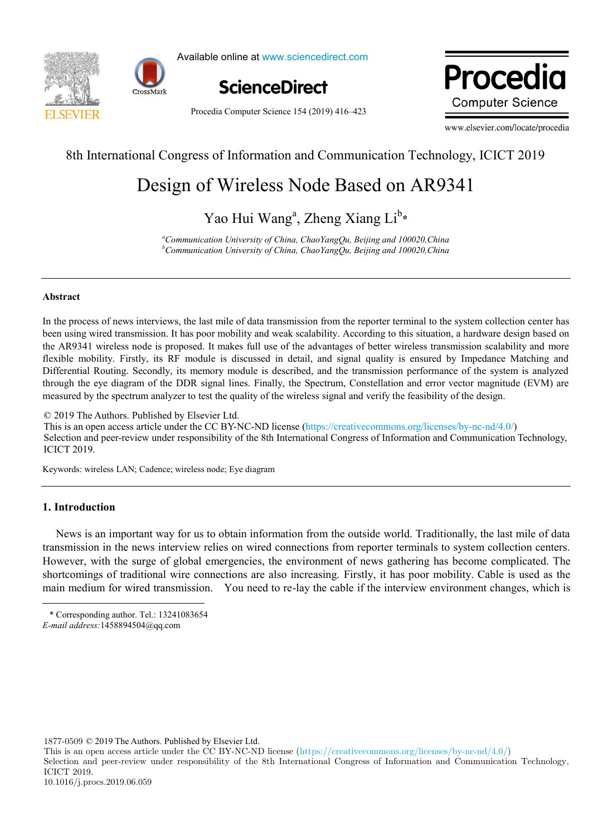

Available online at www.sciencedirect.com



Procedia Computer Science 154 (2019) 416–423

Drocadic ww.edic **Computer Science** 

www.elsevier.com/locate/procedia

# 8th International Congress of Information and Communication Technology, ICICT 2019

## Design of Wireless Node Based on AR9341 Design of Wireless Node Based on AR9341 Design of Wireless Node Based on AR9341

Yao Hui Wang<sup>a</sup>, Zheng Xiang Li<sup>b</sup>\* Yao Hui Wang<sup>a</sup>, Zheng Xiang Li<sup>b</sup>\*

<sup>a</sup>Communication University of China, ChaoYangQu, Beijing and 100020,China<br><sup>b</sup>Communication University of China, ChaoYangQu, Beijing and 100020,China *b Communication University of China, ChaoYangQu, Beijing and 100020,China a Communication University of China, ChaoYangQu, Beijing and 100020,China*

#### **Abstract**

been using wired transmission. It has poor mobility and weak scalability. According to this situation, a hardware design based on In the process of news interviews, the last mile of data transmission from the reporter terminal to the system collection center has<br>been using wired transmission. It has poor mobility and weak scalability. According to th flexible mobility. Firstly, its RF module is discussed in detail, and signal quality is ensured by Impedance Matching and Differential Routing. Secondly, its memory module is described, and the transmission performance of the system is analyzed flexible mobility. Firstly, its RF module is discussed in detail, and signal quality is ensured by Impedance Matching and<br>Differential Routing. Secondly, its memory module is described, and the transmission performance of measured by the spectrum analyzer to test the quality of the wireless signal and verify the feasibility of the design. In the process of news interviews, the last mile of data transmission from the reporter terminal to the system collection center has

© 2019 The Authors. Published by Elsevier Ltd.

 $\degree$  2019 The Audiois. Fubilished by Eisevier Eta.<br>This is an open access article under the CC BY-NC-ND license (https://creativecommons.org/licenses/by-nc-nd/4.0/) Selection and peer-review under responsibility of the 8th International Congress of Information and Communication Technology, ICICT 2019. Person under review under responsibility of the 8th International Congress of Information and Communication Technology,

Keywords: wireless LAN; Cadence; wireless node; Eye diagram Keywords: wireless LAN; Cadence; wireless node; Eye diagram

## $\ddot{ }$ **1. Introduction**

-

 $\mathcal{A}$  in the author: Li  $\mathcal{A}$  is the authority,  $\mathcal{A}$  informationality, lecturer of information articles articles articles articles articles articles articles articles articles articles articles articles articles News is an important way for us to obtain information from the outside world. Traditionally, the last mile of data transmission in the news interview relies on wired connections from reporter terminals to system collection centers. However, with the surge of global emergencies, the environment of news gathering has become complicated. The shortcomings of traditional wire connections are also increasing. Firstly, it has poor mobility. Cable is used as the main modium for wired transmission. You need to re-lev the soble if the interview environment abanges, which is main medium for wired transmission. You need to re-lay the cable if the interview environment changes, which is

main medium for wired transmission. You need to re-lay the interview environment changes, which is the interview environment changes, which is the interview environment changes, which is the interview environment changes,

1877-0509 © 2019 The Authors. Published by Elsevier Ltd.

This is an open access article under the CC BY-NC-ND license (https://creativecommons.org/licenses/by-nc-nd/4.0/)

Selection and peer-review under responsibility of the 8th International Congress of Information and Communication Technology, ICICT 2019.

Latticed windows " (KYZZ16\_0073) \* Corresponding author. Tel.: 13241083654

<sup>15954549212,</sup> E-mail: 280117550@qq.com *E-mail address:*1458894504@qq.com -*mail address:* 1458894504@qq.com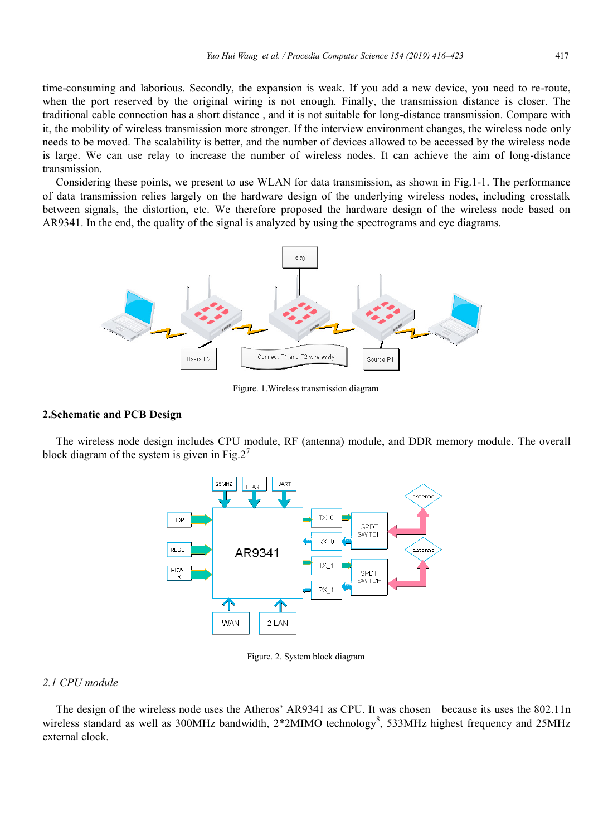time-consuming and laborious. Secondly, the expansion is weak. If you add a new device, you need to re-route, when the port reserved by the original wiring is not enough. Finally, the transmission distance is closer. The traditional cable connection has a short distance , and it is not suitable for long-distance transmission. Compare with it, the mobility of wireless transmission more stronger. If the interview environment changes, the wireless node only needs to be moved. The scalability is better, and the number of devices allowed to be accessed by the wireless node is large. We can use relay to increase the number of wireless nodes. It can achieve the aim of long-distance transmission.

Considering these points, we present to use WLAN for data transmission, as shown in Fig.1-1. The performance of data transmission relies largely on the hardware design of the underlying wireless nodes, including crosstalk between signals, the distortion, etc. We therefore proposed the hardware design of the wireless node based on AR9341. In the end, the quality of the signal is analyzed by using the spectrograms and eye diagrams.



Figure. 1.Wireless transmission diagram

## **2.Schematic and PCB Design**

The wireless node design includes CPU module, RF (antenna) module, and DDR memory module. The overall block diagram of the system is given in Fig.  $2^7$ 



Figure. 2. System block diagram

## *2.1 CPU module*

The design of the wireless node uses the Atheros' AR9341 as CPU. It was chosen because its uses the 802.11n wireless standard as well as 300MHz bandwidth, 2\*2MIMO technology<sup>8</sup>, 533MHz highest frequency and 25MHz external clock.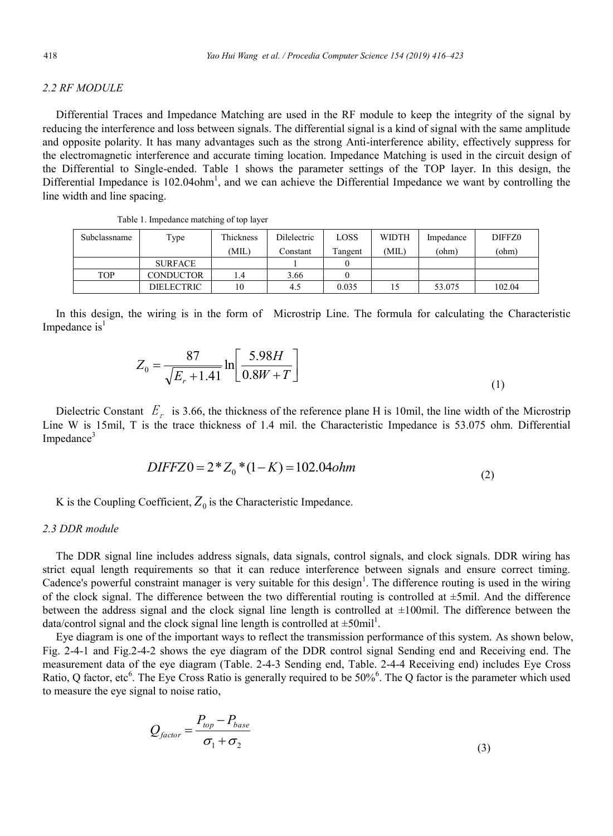## *2.2 RF MODULE*

Differential Traces and Impedance Matching are used in the RF module to keep the integrity of the signal by reducing the interference and loss between signals. The differential signal is a kind of signal with the same amplitude and opposite polarity. It has many advantages such as the strong Anti-interference ability, effectively suppress for the electromagnetic interference and accurate timing location. Impedance Matching is used in the circuit design of the Differential to Single-ended. Table 1 shows the parameter settings of the TOP layer. In this design, the Differential Impedance is  $102.04$ ohm<sup>1</sup>, and we can achieve the Differential Impedance we want by controlling the line width and line spacing.

| Subclassname | Type              | Thickness | Dilelectric | LOSS    | <b>WIDTH</b> | Impedance | DIFFZ0 |
|--------------|-------------------|-----------|-------------|---------|--------------|-----------|--------|
|              |                   | (MIL)     | Constant    | Tangent | (MIL)        | (ohm)     | (ohm)  |
|              | <b>SURFACE</b>    |           |             |         |              |           |        |
| <b>TOP</b>   | <b>CONDUCTOR</b>  | 1.4       | 3.66        |         |              |           |        |
|              | <b>DIELECTRIC</b> | 10        | 4.5         | 0.035   | 15           | 53.075    | 102.04 |

| Table 1. Impedance matching of top layer |  |  |
|------------------------------------------|--|--|
|                                          |  |  |

In this design, the wiring is in the form of Microstrip Line. The formula for calculating the Characteristic Impedance  $is<sup>1</sup>$ 

$$
Z_0 = \frac{87}{\sqrt{E_r + 1.41}} \ln \left[ \frac{5.98H}{0.8W + T} \right]
$$
 (1)

Dielectric Constant  $E_r$  is 3.66, the thickness of the reference plane H is 10mil, the line width of the Microstrip Line W is 15mil, T is the trace thickness of 1.4 mil. the Characteristic Impedance is 53.075 ohm. Differential Impedance<sup>3</sup>

$$
DIFFZ0 = 2 \cdot Z_0 \cdot (1 - K) = 102.04ohm
$$
\n(2)

K is the Coupling Coefficient,  $Z_0$  is the Characteristic Impedance.

#### *2.3 DDR module*

The DDR signal line includes address signals, data signals, control signals, and clock signals. DDR wiring has strict equal length requirements so that it can reduce interference between signals and ensure correct timing. Cadence's powerful constraint manager is very suitable for this design<sup>1</sup>. The difference routing is used in the wiring of the clock signal. The difference between the two differential routing is controlled at  $\pm$ 5mil. And the difference between the address signal and the clock signal line length is controlled at  $\pm 100$ mil. The difference between the data/control signal and the clock signal line length is controlled at  $\pm 50$ mil<sup>1</sup>.

Eye diagram is one of the important ways to reflect the transmission performance of this system. As shown below, Fig. 2-4-1 and Fig.2-4-2 shows the eye diagram of the DDR control signal Sending end and Receiving end. The measurement data of the eye diagram (Table. 2-4-3 Sending end, Table. 2-4-4 Receiving end) includes Eye Cross Ratio, Q factor, etc<sup>6</sup>. The Eye Cross Ratio is generally required to be 50%<sup>6</sup>. The Q factor is the parameter which used to measure the eye signal to noise ratio,

$$
Q_{factor} = \frac{P_{top} - P_{base}}{\sigma_1 + \sigma_2}
$$
\n(3)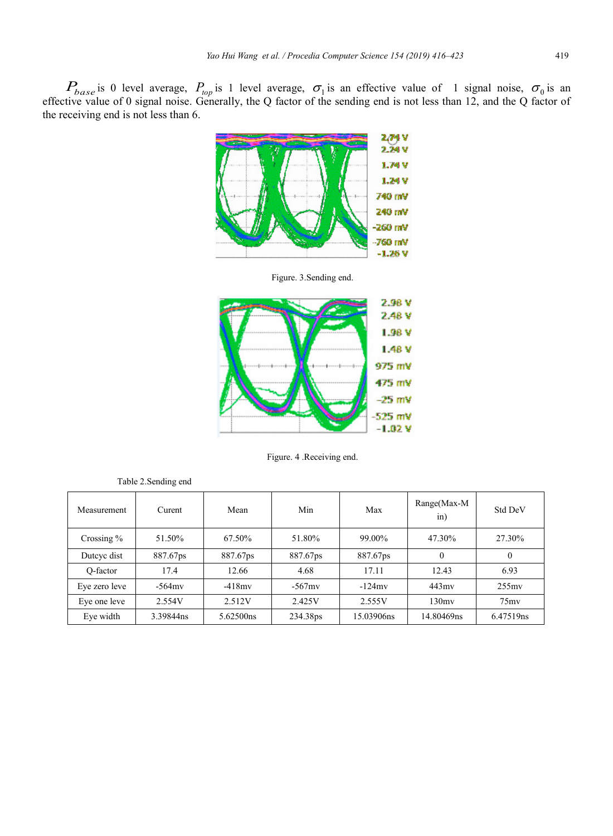$P_{base}$  is 0 level average,  $P_{top}$  is 1 level average,  $\sigma_1$  is an effective value of 1 signal noise,  $\sigma_0$  is an effective value of 0 signal noise. Generally, the Q factor of the sending end is not less than 12, and the Q factor of the receiving end is not less than 6.



Figure. 3.Sending end.



Figure. 4 .Receiving end.

| Measurement   | Curent    | Mean      | Min       | Max        | Range(Max-M<br>in) | <b>Std DeV</b> |
|---------------|-----------|-----------|-----------|------------|--------------------|----------------|
| Crossing $%$  | 51.50%    | 67.50%    | 51.80%    | 99.00%     | 47.30%             | 27.30%         |
| Dutcyc dist   | 887.67ps  | 887.67ps  | 887.67ps  | 887.67ps   | $\theta$           | $\theta$       |
| O-factor      | 17.4      | 12.66     | 4.68      | 17.11      | 12.43              | 6.93           |
| Eye zero leve | $-564$ mv | $-418mv$  | $-567$ mv | $-124$ mv  | $443 \text{mv}$    | $255$ mv       |
| Eye one leve  | 2.554V    | 2.512V    | 2.425V    | 2.555V     | 130mv              | $75 \text{mv}$ |
| Eye width     | 3.39844ns | 5.62500ns | 234.38ps  | 15.03906ns | 14.80469ns         | 6.47519ns      |

| Table 2. Sending end |  |  |
|----------------------|--|--|
|                      |  |  |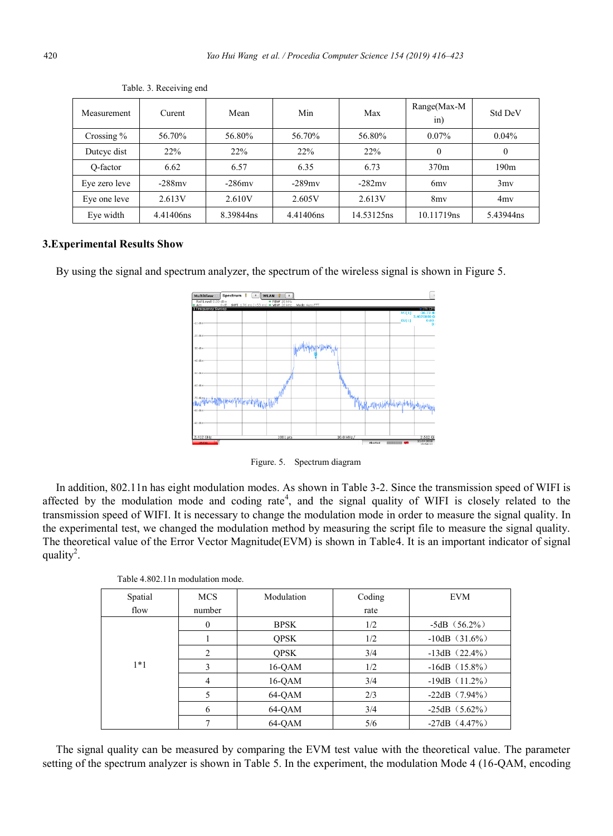| Measurement   | Curent    | Mean      | Min       | Max        | Range(Max-M<br>in) | Std DeV          |
|---------------|-----------|-----------|-----------|------------|--------------------|------------------|
| Crossing $\%$ | 56.70%    | 56.80%    | 56.70%    | 56.80%     | $0.07\%$           | $0.04\%$         |
| Dutcyc dist   | 22%       | 22%       | 22%       | 22%        | $\theta$           | $\theta$         |
| O-factor      | 6.62      | 6.57      | 6.35      | 6.73       | 370m               | 190 <sub>m</sub> |
| Eve zero leve | $-288$ mv | $-286$ mv | $-289$ mv | $-282$ mv  | 6 <sub>my</sub>    | 3mv              |
| Eye one leve  | 2.613V    | 2.610V    | 2.605V    | 2.613V     | 8 <sub>mv</sub>    | 4my              |
| Eve width     | 4.41406ns | 8.39844ns | 4.41406ns | 14.53125ns | 10.11719ns         | 5.43944ns        |

Table. 3. Receiving end

## **3.Experimental Results Show**

By using the signal and spectrum analyzer, the spectrum of the wireless signal is shown in Figure 5.



Figure. 5. Spectrum diagram

In addition, 802.11n has eight modulation modes. As shown in Table 3-2. Since the transmission speed of WIFI is affected by the modulation mode and coding rate<sup>4</sup>, and the signal quality of WIFI is closely related to the transmission speed of WIFI. It is necessary to change the modulation mode in order to measure the signal quality. In the experimental test, we changed the modulation method by measuring the script file to measure the signal quality. The theoretical value of the Error Vector Magnitude(EVM) is shown in Table4. It is an important indicator of signal quality<sup>2</sup>.

| Table 4.802.11n modulation mode. |  |  |
|----------------------------------|--|--|
|----------------------------------|--|--|

| Spatial | <b>MCS</b>     | Modulation  | Coding | <b>EVM</b>          |
|---------|----------------|-------------|--------|---------------------|
| flow    | number         |             | rate   |                     |
|         | $\theta$       | <b>BPSK</b> | 1/2    | $-5dB$ $(56.2\%)$   |
|         |                | <b>OPSK</b> | 1/2    | $-10$ dB $(31.6\%)$ |
|         | $\mathfrak{D}$ | <b>OPSK</b> | 3/4    | $-13dB$ (22.4%)     |
| $1*1$   |                | 16-OAM      | 1/2    | $-16dB$ (15.8%)     |
|         | 4              | 16-OAM      | 3/4    | $-19dB$ (11.2%)     |
|         |                | 64-OAM      | 2/3    | $-22dB$ $(7.94\%)$  |
|         | 6              | 64-OAM      | 3/4    | $-25dB$ $(5.62\%)$  |
|         |                | 64-OAM      | 5/6    | $-27dB$ $(4.47\%)$  |

The signal quality can be measured by comparing the EVM test value with the theoretical value. The parameter setting of the spectrum analyzer is shown in Table 5. In the experiment, the modulation Mode 4 (16-QAM, encoding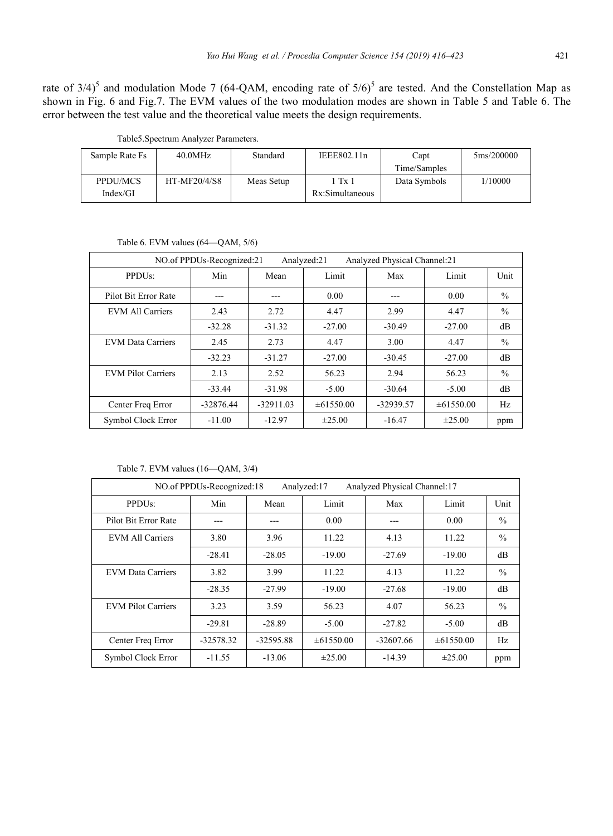rate of  $3/4$ <sup>5</sup> and modulation Mode 7 (64-QAM, encoding rate of  $5/6$ <sup>5</sup> are tested. And the Constellation Map as shown in Fig. 6 and Fig.7. The EVM values of the two modulation modes are shown in Table 5 and Table 6. The error between the test value and the theoretical value meets the design requirements.

| 5ms/200000 |
|------------|
|            |
| 1/10000    |
|            |
|            |

Table5.Spectrum Analyzer Parameters.

| Table 6. EVM values $(64 - QAM, 5/6)$ |  |  |  |
|---------------------------------------|--|--|--|
|                                       |  |  |  |

| Analyzed Physical Channel:21<br>NO.of PPDUs-Recognized:21<br>Analyzed:21 |             |             |                |           |                |               |
|--------------------------------------------------------------------------|-------------|-------------|----------------|-----------|----------------|---------------|
| PPDU <sub>s</sub> :                                                      | Min         | Mean        | Limit          | Max       | Limit          | Unit          |
| Pilot Bit Error Rate                                                     | ---         | ---         | 0.00           | ---       | 0.00           | $\frac{0}{0}$ |
| <b>EVM All Carriers</b>                                                  | 2.43        | 2.72        | 4.47           | 2.99      | 4.47           | $\frac{0}{0}$ |
|                                                                          | $-32.28$    | $-31.32$    | $-27.00$       | $-30.49$  | $-27.00$       | dB            |
| <b>EVM Data Carriers</b>                                                 | 2.45        | 2.73        | 4.47           | 3.00      | 4.47           | $\frac{0}{0}$ |
|                                                                          | $-32.23$    | $-31.27$    | $-27.00$       | $-30.45$  | $-27.00$       | dВ            |
| <b>EVM Pilot Carriers</b>                                                | 2.13        | 2.52        | 56.23          | 2.94      | 56.23          | $\frac{0}{0}$ |
|                                                                          | $-33.44$    | $-31.98$    | $-5.00$        | $-30.64$  | $-5.00$        | dB            |
| Center Freq Error                                                        | $-32876.44$ | $-32911.03$ | $\pm 61550.00$ | -32939.57 | $\pm 61550.00$ | Hz            |
| Symbol Clock Error                                                       | $-11.00$    | $-12.97$    | $\pm 25.00$    | $-16.47$  | $\pm 25.00$    | ppm           |

Table 7. EVM values (16—QAM, 3/4)

| NO.of PPDUs-Recognized:18<br>Analyzed:17<br>Analyzed Physical Channel:17 |             |             |                |             |                |               |
|--------------------------------------------------------------------------|-------------|-------------|----------------|-------------|----------------|---------------|
| PPDU <sub>s</sub> :                                                      | Min         | Mean        | Limit          | Max         | Limit          | Unit          |
| Pilot Bit Error Rate                                                     |             |             | 0.00           |             | 0.00           | $\frac{0}{0}$ |
| <b>EVM All Carriers</b>                                                  | 3.80        | 3.96        | 11.22          | 4.13        | 11.22          | $\%$          |
|                                                                          | $-28.41$    | $-28.05$    | $-19.00$       | $-27.69$    | $-19.00$       | dB            |
| <b>EVM Data Carriers</b>                                                 | 3.82        | 3.99        | 11.22          | 4.13        | 11.22          | $\frac{0}{0}$ |
|                                                                          | $-28.35$    | $-27.99$    | $-19.00$       | $-27.68$    | $-19.00$       | dB            |
| <b>EVM Pilot Carriers</b>                                                | 3.23        | 3.59        | 56.23          | 4.07        | 56.23          | $\frac{0}{0}$ |
|                                                                          | $-29.81$    | $-28.89$    | $-5.00$        | $-27.82$    | $-5.00$        | dB            |
| Center Freq Error                                                        | $-32578.32$ | $-32595.88$ | $\pm 61550.00$ | $-32607.66$ | $\pm 61550.00$ | Hz            |
| Symbol Clock Error                                                       | $-11.55$    | $-13.06$    | $\pm 25.00$    | $-14.39$    | $\pm 25.00$    | ppm           |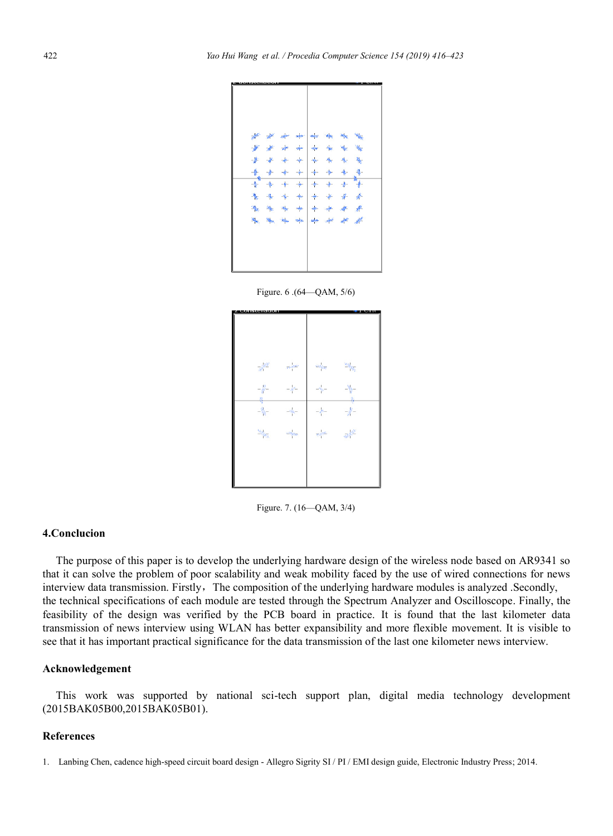

Figure. 6 .(64—QAM, 5/6)

| <b>ISLAMITELELLE</b>                               |                                                                       |                   |                               |
|----------------------------------------------------|-----------------------------------------------------------------------|-------------------|-------------------------------|
|                                                    |                                                                       |                   |                               |
|                                                    |                                                                       |                   |                               |
|                                                    |                                                                       |                   |                               |
| $\mathbb{R}^{\mathbb{R}^2}$                        | $\frac{1}{\  \mathcal{D} \mathcal{L} \mathcal{D} \mathcal{L} \ _2^2}$ | an yezhoù gant    | $\frac{1}{2} \frac{d^2}{d^2}$ |
| $-\frac{10}{9}$                                    | $\mathcal{A}^{\mu}$                                                   | $\mathcal{A}_b$ . | Ą.                            |
| $-\frac{\partial \mathbf{p}}{\partial \mathbf{q}}$ | $-\theta_{b\tau}$                                                     | $-49-$            | Ą.<br>$\frac{1}{2}$           |
| $\mathbb{E} \phi_{\overline{m}}$                   | uriyası.                                                              | <b>WAND</b>       | 画程                            |
|                                                    |                                                                       |                   |                               |
|                                                    |                                                                       |                   |                               |
|                                                    |                                                                       |                   |                               |

Figure. 7. (16—QAM, 3/4)

## **4.Conclucion**

The purpose of this paper is to develop the underlying hardware design of the wireless node based on AR9341 so that it can solve the problem of poor scalability and weak mobility faced by the use of wired connections for news interview data transmission. Firstly, The composition of the underlying hardware modules is analyzed .Secondly, the technical specifications of each module are tested through the Spectrum Analyzer and Oscilloscope. Finally, the feasibility of the design was verified by the PCB board in practice. It is found that the last kilometer data transmission of news interview using WLAN has better expansibility and more flexible movement. It is visible to see that it has important practical significance for the data transmission of the last one kilometer news interview.

#### **Acknowledgement**

This work was supported by national sci-tech support plan, digital media technology development (2015BAK05B00,2015BAK05B01).

### **References**

<sup>1.</sup> Lanbing Chen, cadence high-speed circuit board design - Allegro Sigrity SI / PI / EMI design guide, Electronic Industry Press; 2014.